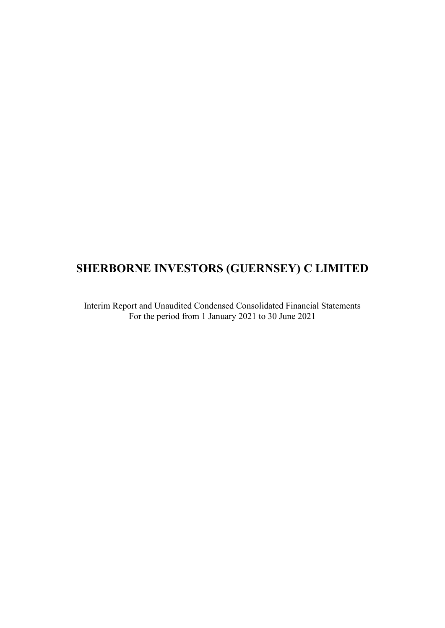# **SHERBORNE INVESTORS (GUERNSEY) C LIMITED**

Interim Report and Unaudited Condensed Consolidated Financial Statements For the period from 1 January 2021 to 30 June 2021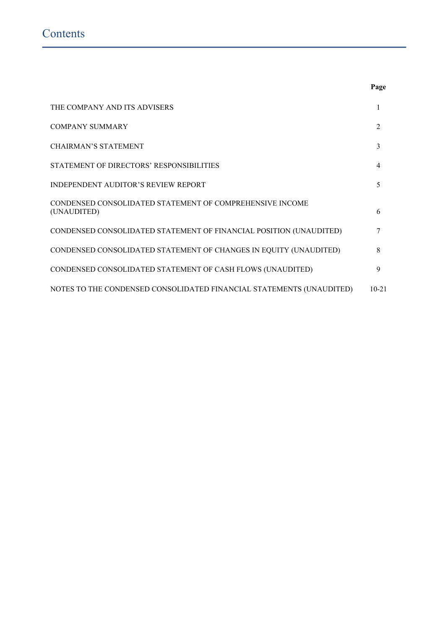|                                                                         | Page      |
|-------------------------------------------------------------------------|-----------|
| THE COMPANY AND ITS ADVISERS                                            | 1         |
| <b>COMPANY SUMMARY</b>                                                  | 2         |
| <b>CHAIRMAN'S STATEMENT</b>                                             | 3         |
| STATEMENT OF DIRECTORS' RESPONSIBILITIES                                | 4         |
| <b>INDEPENDENT AUDITOR'S REVIEW REPORT</b>                              | 5         |
| CONDENSED CONSOLIDATED STATEMENT OF COMPREHENSIVE INCOME<br>(UNAUDITED) | 6         |
| CONDENSED CONSOLIDATED STATEMENT OF FINANCIAL POSITION (UNAUDITED)      | 7         |
| CONDENSED CONSOLIDATED STATEMENT OF CHANGES IN EQUITY (UNAUDITED)       | 8         |
| CONDENSED CONSOLIDATED STATEMENT OF CASH FLOWS (UNAUDITED)              | 9         |
| NOTES TO THE CONDENSED CONSOLIDATED FINANCIAL STATEMENTS (UNAUDITED)    | $10 - 21$ |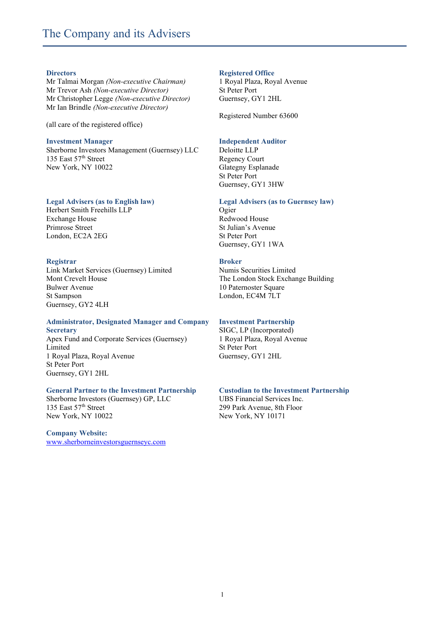# The Company and its Advisers

#### **Directors**

Mr Talmai Morgan *(Non-executive Chairman)* Mr Trevor Ash *(Non-executive Director)* Mr Christopher Legge *(Non-executive Director)* Mr Ian Brindle *(Non-executive Director)*

(all care of the registered office)

#### **Investment Manager**

Sherborne Investors Management (Guernsey) LLC 135 East 57<sup>th</sup> Street New York, NY 10022

# **Legal Advisers (as to English law)**

Herbert Smith Freehills LLP Exchange House Primrose Street London, EC2A 2EG

#### **Registrar**

Link Market Services (Guernsey) Limited Mont Crevelt House Bulwer Avenue St Sampson Guernsey, GY2 4LH

# **Administrator, Designated Manager and Company**

**Secretary** Apex Fund and Corporate Services (Guernsey) Limited 1 Royal Plaza, Royal Avenue St Peter Port Guernsey, GY1 2HL

# **General Partner to the Investment Partnership**

Sherborne Investors (Guernsey) GP, LLC 135 East 57th Street New York, NY 10022

**Company Website:**  [www.sherborneinvestorsguernseyc.com](http://www.sherborneinvestorsguernseyc.com/)

#### **Registered Office**

1 Royal Plaza, Royal Avenue St Peter Port Guernsey, GY1 2HL

Registered Number 63600

# **Independent Auditor**

Deloitte LLP Regency Court Glategny Esplanade St Peter Port Guernsey, GY1 3HW

#### **Legal Advisers (as to Guernsey law)**

Ogier Redwood House St Julian's Avenue St Peter Port Guernsey, GY1 1WA

#### **Broker**

Numis Securities Limited The London Stock Exchange Building 10 Paternoster Square London, EC4M 7LT

#### **Investment Partnership**

SIGC, LP (Incorporated) 1 Royal Plaza, Royal Avenue St Peter Port Guernsey, GY1 2HL

# **Custodian to the Investment Partnership**

UBS Financial Services Inc. 299 Park Avenue, 8th Floor New York, NY 10171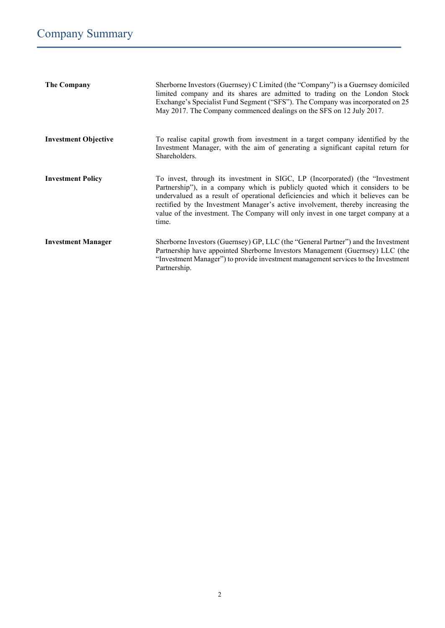| <b>The Company</b>          | Sherborne Investors (Guernsey) C Limited (the "Company") is a Guernsey domiciled<br>limited company and its shares are admitted to trading on the London Stock<br>Exchange's Specialist Fund Segment ("SFS"). The Company was incorporated on 25<br>May 2017. The Company commenced dealings on the SFS on 12 July 2017.                                                                                                             |
|-----------------------------|--------------------------------------------------------------------------------------------------------------------------------------------------------------------------------------------------------------------------------------------------------------------------------------------------------------------------------------------------------------------------------------------------------------------------------------|
| <b>Investment Objective</b> | To realise capital growth from investment in a target company identified by the<br>Investment Manager, with the aim of generating a significant capital return for<br>Shareholders.                                                                                                                                                                                                                                                  |
| <b>Investment Policy</b>    | To invest, through its investment in SIGC, LP (Incorporated) (the "Investment"<br>Partnership"), in a company which is publicly quoted which it considers to be<br>undervalued as a result of operational deficiencies and which it believes can be<br>rectified by the Investment Manager's active involvement, thereby increasing the<br>value of the investment. The Company will only invest in one target company at a<br>time. |
| <b>Investment Manager</b>   | Sherborne Investors (Guernsey) GP, LLC (the "General Partner") and the Investment<br>Partnership have appointed Sherborne Investors Management (Guernsey) LLC (the<br>"Investment Manager") to provide investment management services to the Investment<br>Partnership.                                                                                                                                                              |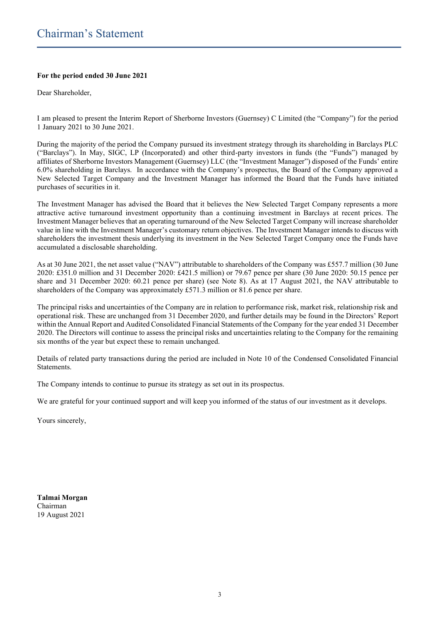# **For the period ended 30 June 2021**

Dear Shareholder,

I am pleased to present the Interim Report of Sherborne Investors (Guernsey) C Limited (the "Company") for the period 1 January 2021 to 30 June 2021.

During the majority of the period the Company pursued its investment strategy through its shareholding in Barclays PLC ("Barclays"). In May, SIGC, LP (Incorporated) and other third-party investors in funds (the "Funds") managed by affiliates of Sherborne Investors Management (Guernsey) LLC (the "Investment Manager") disposed of the Funds' entire 6.0% shareholding in Barclays. In accordance with the Company's prospectus, the Board of the Company approved a New Selected Target Company and the Investment Manager has informed the Board that the Funds have initiated purchases of securities in it.

The Investment Manager has advised the Board that it believes the New Selected Target Company represents a more attractive active turnaround investment opportunity than a continuing investment in Barclays at recent prices. The Investment Manager believes that an operating turnaround of the New Selected Target Company will increase shareholder value in line with the Investment Manager's customary return objectives. The Investment Manager intends to discuss with shareholders the investment thesis underlying its investment in the New Selected Target Company once the Funds have accumulated a disclosable shareholding.

As at 30 June 2021, the net asset value ("NAV") attributable to shareholders of the Company was £557.7 million (30 June 2020: £351.0 million and 31 December 2020: £421.5 million) or 79.67 pence per share (30 June 2020: 50.15 pence per share and 31 December 2020: 60.21 pence per share) (see Note 8). As at 17 August 2021, the NAV attributable to shareholders of the Company was approximately £571.3 million or 81.6 pence per share.

The principal risks and uncertainties of the Company are in relation to performance risk, market risk, relationship risk and operational risk. These are unchanged from 31 December 2020, and further details may be found in the Directors' Report within the Annual Report and Audited Consolidated Financial Statements of the Company for the year ended 31 December 2020. The Directors will continue to assess the principal risks and uncertainties relating to the Company for the remaining six months of the year but expect these to remain unchanged.

Details of related party transactions during the period are included in Note 10 of the Condensed Consolidated Financial Statements.

The Company intends to continue to pursue its strategy as set out in its prospectus.

We are grateful for your continued support and will keep you informed of the status of our investment as it develops.

Yours sincerely,

**Talmai Morgan** Chairman 19 August 2021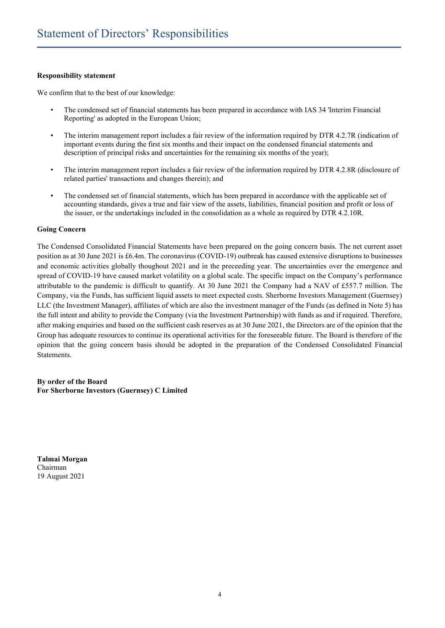# **Responsibility statement**

We confirm that to the best of our knowledge:

- The condensed set of financial statements has been prepared in accordance with IAS 34 'Interim Financial Reporting' as adopted in the European Union;
- The interim management report includes a fair review of the information required by DTR 4.2.7R (indication of important events during the first six months and their impact on the condensed financial statements and description of principal risks and uncertainties for the remaining six months of the year);
- The interim management report includes a fair review of the information required by DTR 4.2.8R (disclosure of related parties' transactions and changes therein); and
- The condensed set of financial statements, which has been prepared in accordance with the applicable set of accounting standards, gives a true and fair view of the assets, liabilities, financial position and profit or loss of the issuer, or the undertakings included in the consolidation as a whole as required by DTR 4.2.10R.

# **Going Concern**

The Condensed Consolidated Financial Statements have been prepared on the going concern basis. The net current asset position as at 30 June 2021 is £6.4m. The coronavirus (COVID-19) outbreak has caused extensive disruptions to businesses and economic activities globally thoughout 2021 and in the preceeding year. The uncertainties over the emergence and spread of COVID-19 have caused market volatility on a global scale. The specific impact on the Company's performance attributable to the pandemic is difficult to quantify. At 30 June 2021 the Company had a NAV of £557.7 million. The Company, via the Funds, has sufficient liquid assets to meet expected costs. Sherborne Investors Management (Guernsey) LLC (the Investment Manager), affiliates of which are also the investment manager of the Funds (as defined in Note 5) has the full intent and ability to provide the Company (via the Investment Partnership) with funds as and if required. Therefore, after making enquiries and based on the sufficient cash reserves as at 30 June 2021, the Directors are of the opinion that the Group has adequate resources to continue its operational activities for the foreseeable future. The Board is therefore of the opinion that the going concern basis should be adopted in the preparation of the Condensed Consolidated Financial Statements.

**By order of the Board For Sherborne Investors (Guernsey) C Limited**

**Talmai Morgan** Chairman 19 August 2021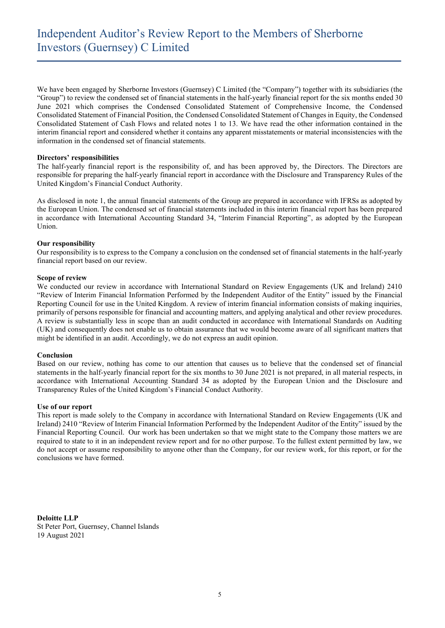We have been engaged by Sherborne Investors (Guernsey) C Limited (the "Company") together with its subsidiaries (the "Group") to review the condensed set of financial statements in the half-yearly financial report for the six months ended 30 June 2021 which comprises the Condensed Consolidated Statement of Comprehensive Income, the Condensed Consolidated Statement of Financial Position, the Condensed Consolidated Statement of Changes in Equity, the Condensed Consolidated Statement of Cash Flows and related notes 1 to 13. We have read the other information contained in the interim financial report and considered whether it contains any apparent misstatements or material inconsistencies with the information in the condensed set of financial statements.

#### **Directors' responsibilities**

The half-yearly financial report is the responsibility of, and has been approved by, the Directors. The Directors are responsible for preparing the half-yearly financial report in accordance with the Disclosure and Transparency Rules of the United Kingdom's Financial Conduct Authority.

As disclosed in note 1, the annual financial statements of the Group are prepared in accordance with IFRSs as adopted by the European Union. The condensed set of financial statements included in this interim financial report has been prepared in accordance with International Accounting Standard 34, "Interim Financial Reporting", as adopted by the European Union.

#### **Our responsibility**

Our responsibility is to express to the Company a conclusion on the condensed set of financial statements in the half-yearly financial report based on our review.

#### **Scope of review**

We conducted our review in accordance with International Standard on Review Engagements (UK and Ireland) 2410 "Review of Interim Financial Information Performed by the Independent Auditor of the Entity" issued by the Financial Reporting Council for use in the United Kingdom. A review of interim financial information consists of making inquiries, primarily of persons responsible for financial and accounting matters, and applying analytical and other review procedures. A review is substantially less in scope than an audit conducted in accordance with International Standards on Auditing (UK) and consequently does not enable us to obtain assurance that we would become aware of all significant matters that might be identified in an audit. Accordingly, we do not express an audit opinion.

#### **Conclusion**

Based on our review, nothing has come to our attention that causes us to believe that the condensed set of financial statements in the half-yearly financial report for the six months to 30 June 2021 is not prepared, in all material respects, in accordance with International Accounting Standard 34 as adopted by the European Union and the Disclosure and Transparency Rules of the United Kingdom's Financial Conduct Authority.

#### **Use of our report**

This report is made solely to the Company in accordance with International Standard on Review Engagements (UK and Ireland) 2410 "Review of Interim Financial Information Performed by the Independent Auditor of the Entity" issued by the Financial Reporting Council. Our work has been undertaken so that we might state to the Company those matters we are required to state to it in an independent review report and for no other purpose. To the fullest extent permitted by law, we do not accept or assume responsibility to anyone other than the Company, for our review work, for this report, or for the conclusions we have formed.

**Deloitte LLP** St Peter Port, Guernsey, Channel Islands 19 August 2021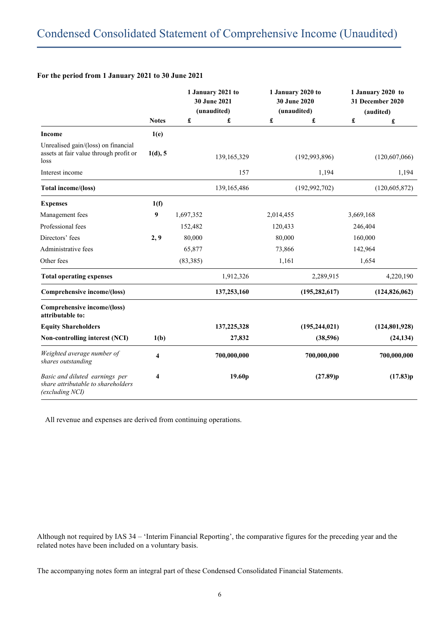|                                                                                         |              |           | 1 January 2021 to<br>30 June 2021<br>(unaudited) | 1 January 2020 to<br>30 June 2020<br>(unaudited) |                 |                      | 1 January 2020 to<br>31 December 2020<br>(audited) |
|-----------------------------------------------------------------------------------------|--------------|-----------|--------------------------------------------------|--------------------------------------------------|-----------------|----------------------|----------------------------------------------------|
|                                                                                         | <b>Notes</b> | £         | £                                                | $\pmb{\mathfrak{L}}$                             | £               | $\pmb{\mathfrak{L}}$ | £                                                  |
| <b>Income</b>                                                                           | 1(e)         |           |                                                  |                                                  |                 |                      |                                                    |
| Unrealised gain/(loss) on financial<br>assets at fair value through profit or<br>loss   | 1(d), 5      |           | 139, 165, 329                                    |                                                  | (192, 993, 896) |                      | (120, 607, 066)                                    |
| Interest income                                                                         |              |           | 157                                              |                                                  | 1,194           |                      | 1,194                                              |
| Total income/(loss)                                                                     |              |           | 139, 165, 486                                    |                                                  | (192, 992, 702) |                      | (120, 605, 872)                                    |
| <b>Expenses</b>                                                                         | 1(f)         |           |                                                  |                                                  |                 |                      |                                                    |
| Management fees                                                                         | 9            | 1,697,352 |                                                  | 2,014,455                                        |                 | 3,669,168            |                                                    |
| Professional fees                                                                       |              | 152,482   |                                                  | 120,433                                          |                 | 246,404              |                                                    |
| Directors' fees                                                                         | 2, 9         | 80,000    |                                                  | 80,000                                           |                 | 160,000              |                                                    |
| Administrative fees                                                                     |              | 65,877    |                                                  | 73,866                                           |                 | 142,964              |                                                    |
| Other fees                                                                              |              | (83, 385) |                                                  | 1,161                                            |                 | 1,654                |                                                    |
| <b>Total operating expenses</b>                                                         |              |           | 1,912,326                                        |                                                  | 2,289,915       |                      | 4,220,190                                          |
| Comprehensive income/(loss)                                                             |              |           | 137,253,160                                      |                                                  | (195, 282, 617) |                      | (124, 826, 062)                                    |
| Comprehensive income/(loss)<br>attributable to:                                         |              |           |                                                  |                                                  |                 |                      |                                                    |
| <b>Equity Shareholders</b>                                                              |              |           | 137,225,328                                      |                                                  | (195, 244, 021) |                      | (124, 801, 928)                                    |
| Non-controlling interest (NCI)                                                          | 1(b)         |           | 27,832                                           |                                                  | (38,596)        |                      | (24, 134)                                          |
| Weighted average number of<br>shares outstanding                                        | 4            |           | 700,000,000                                      |                                                  | 700,000,000     |                      | 700,000,000                                        |
| Basic and diluted earnings per<br>share attributable to shareholders<br>(excluding NCI) | 4            |           | 19.60 <sub>p</sub>                               |                                                  | (27.89)p        |                      | (17.83)p                                           |

All revenue and expenses are derived from continuing operations.

Although not required by IAS 34 – 'Interim Financial Reporting', the comparative figures for the preceding year and the related notes have been included on a voluntary basis.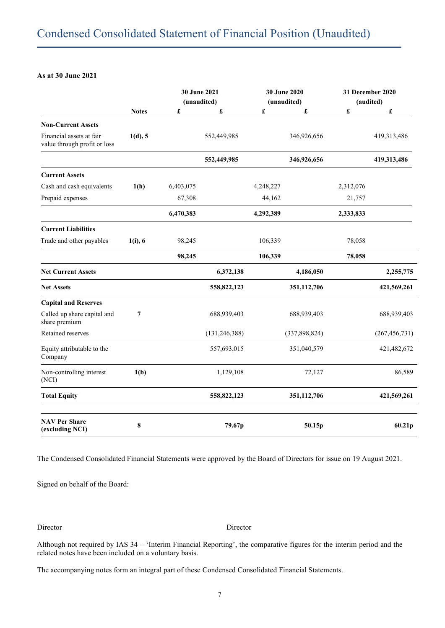# **As at 30 June 2021**

|                                                          |              | 30 June 2021<br>(unaudited) |                 | 30 June 2020<br>(unaudited) |                 | 31 December 2020<br>(audited) |                 |
|----------------------------------------------------------|--------------|-----------------------------|-----------------|-----------------------------|-----------------|-------------------------------|-----------------|
|                                                          | <b>Notes</b> | £                           | £               | £                           | £               | $\pmb{\mathfrak{L}}$          | £               |
| <b>Non-Current Assets</b>                                |              |                             |                 |                             |                 |                               |                 |
| Financial assets at fair<br>value through profit or loss | 1(d), 5      |                             | 552,449,985     |                             | 346,926,656     |                               | 419,313,486     |
|                                                          |              |                             | 552,449,985     |                             | 346,926,656     |                               | 419,313,486     |
| <b>Current Assets</b>                                    |              |                             |                 |                             |                 |                               |                 |
| Cash and cash equivalents                                | 1(h)         | 6,403,075                   |                 | 4,248,227                   |                 | 2,312,076                     |                 |
| Prepaid expenses                                         |              | 67,308                      |                 | 44,162                      |                 | 21,757                        |                 |
|                                                          |              | 6,470,383                   |                 | 4,292,389                   |                 | 2,333,833                     |                 |
| <b>Current Liabilities</b>                               |              |                             |                 |                             |                 |                               |                 |
| Trade and other payables                                 | $1(i)$ , 6   | 98,245                      |                 | 106,339                     |                 | 78,058                        |                 |
|                                                          |              | 98,245                      |                 | 106,339                     |                 | 78,058                        |                 |
| <b>Net Current Assets</b>                                |              |                             | 6,372,138       |                             | 4,186,050       |                               | 2,255,775       |
| <b>Net Assets</b>                                        |              |                             | 558,822,123     |                             | 351,112,706     |                               | 421,569,261     |
| <b>Capital and Reserves</b>                              |              |                             |                 |                             |                 |                               |                 |
| Called up share capital and<br>share premium             | 7            |                             | 688,939,403     |                             | 688,939,403     |                               | 688,939,403     |
| Retained reserves                                        |              |                             | (131, 246, 388) |                             | (337, 898, 824) |                               | (267, 456, 731) |
| Equity attributable to the<br>Company                    |              |                             | 557,693,015     |                             | 351,040,579     |                               | 421,482,672     |
| Non-controlling interest<br>(NCI)                        | 1(b)         |                             | 1,129,108       |                             | 72,127          |                               | 86,589          |
| <b>Total Equity</b>                                      |              |                             | 558,822,123     |                             | 351,112,706     |                               | 421,569,261     |
| <b>NAV Per Share</b><br>(excluding NCI)                  | 8            |                             | 79.67p          |                             | 50.15p          |                               | 60.21p          |

The Condensed Consolidated Financial Statements were approved by the Board of Directors for issue on 19 August 2021.

Signed on behalf of the Board:

Director Director

Although not required by IAS 34 – 'Interim Financial Reporting', the comparative figures for the interim period and the related notes have been included on a voluntary basis.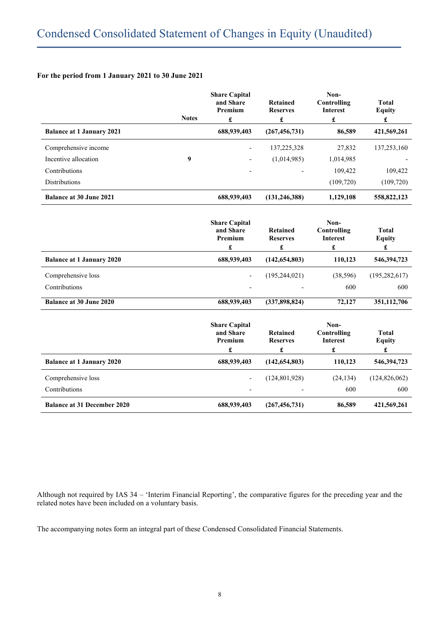|                                    | <b>Notes</b> | <b>Share Capital</b><br>and Share<br>Premium<br>£ | Retained<br><b>Reserves</b><br>$\pmb{\mathfrak{L}}$ | Non-<br>Controlling<br><b>Interest</b><br>£                    | <b>Total</b><br><b>Equity</b><br>£ |
|------------------------------------|--------------|---------------------------------------------------|-----------------------------------------------------|----------------------------------------------------------------|------------------------------------|
| <b>Balance at 1 January 2021</b>   |              | 688,939,403                                       | (267, 456, 731)                                     | 86,589                                                         | 421,569,261                        |
| Comprehensive income               |              |                                                   | 137,225,328                                         | 27,832                                                         | 137,253,160                        |
| Incentive allocation               | 9            |                                                   | (1,014,985)                                         | 1,014,985                                                      |                                    |
| Contributions                      |              |                                                   |                                                     | 109,422                                                        | 109,422                            |
| <b>Distributions</b>               |              |                                                   |                                                     | (109, 720)                                                     | (109, 720)                         |
| <b>Balance at 30 June 2021</b>     |              | 688,939,403                                       | (131, 246, 388)                                     | 1,129,108                                                      | 558,822,123                        |
|                                    |              | <b>Share Capital</b><br>and Share<br>Premium<br>£ | Retained<br><b>Reserves</b><br>$\pmb{\mathfrak{L}}$ | Non-<br>Controlling<br><b>Interest</b><br>£                    | <b>Total</b><br><b>Equity</b><br>£ |
| <b>Balance at 1 January 2020</b>   |              | 688,939,403                                       | (142, 654, 803)                                     | 110,123                                                        | 546,394,723                        |
| Comprehensive loss                 |              |                                                   | (195, 244, 021)                                     | (38, 596)                                                      | (195, 282, 617)                    |
| Contributions                      |              |                                                   |                                                     | 600                                                            | 600                                |
| <b>Balance at 30 June 2020</b>     |              | 688,939,403                                       | (337, 898, 824)                                     | 72,127                                                         | 351,112,706                        |
|                                    |              | <b>Share Capital</b><br>and Share<br>Premium<br>£ | Retained<br><b>Reserves</b><br>£                    | Non-<br>Controlling<br><b>Interest</b><br>$\pmb{\mathfrak{L}}$ | <b>Total</b><br><b>Equity</b><br>£ |
| <b>Balance at 1 January 2020</b>   |              | 688,939,403                                       | (142, 654, 803)                                     | 110,123                                                        | 546,394,723                        |
| Comprehensive loss                 |              |                                                   | (124, 801, 928)                                     | (24, 134)                                                      | (124, 826, 062)                    |
| Contributions                      |              |                                                   |                                                     | 600                                                            | 600                                |
| <b>Balance at 31 December 2020</b> |              | 688,939,403                                       | (267, 456, 731)                                     | 86,589                                                         | 421,569,261                        |

Although not required by IAS 34 – 'Interim Financial Reporting', the comparative figures for the preceding year and the related notes have been included on a voluntary basis.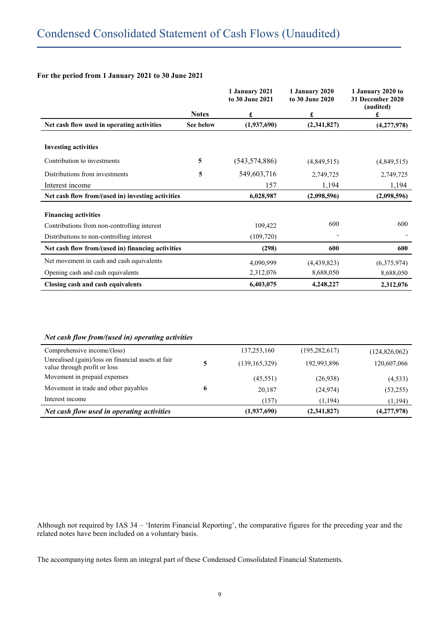|                                                   |              | 1 January 2021<br>to 30 June 2021 | 1 January 2020<br>to 30 June 2020 | 1 January 2020 to<br>31 December 2020<br>(audited) |
|---------------------------------------------------|--------------|-----------------------------------|-----------------------------------|----------------------------------------------------|
|                                                   | <b>Notes</b> | £                                 | £                                 | £                                                  |
| Net cash flow used in operating activities        | See below    | (1,937,690)                       | (2,341,827)                       | (4,277,978)                                        |
| <b>Investing activities</b>                       |              |                                   |                                   |                                                    |
| Contribution to investments                       | 5            | (543, 574, 886)                   | (4,849,515)                       | (4,849,515)                                        |
| Distributions from investments                    | 5            | 549,603,716                       | 2,749,725                         | 2,749,725                                          |
| Interest income                                   |              | 157                               | 1,194                             | 1,194                                              |
| Net cash flow from/(used in) investing activities |              | 6,028,987                         | (2,098,596)                       | (2,098,596)                                        |
| <b>Financing activities</b>                       |              |                                   |                                   |                                                    |
| Contributions from non-controlling interest       |              | 109,422                           | 600                               | 600                                                |
| Distributions to non-controlling interest         |              | (109, 720)                        |                                   |                                                    |
| Net cash flow from/(used in) financing activities |              | (298)                             | 600                               | 600                                                |
| Net movement in cash and cash equivalents         |              | 4,090,999                         | (4,439,823)                       | (6,375,974)                                        |
| Opening cash and cash equivalents                 |              | 2,312,076                         | 8,688,050                         | 8,688,050                                          |
| Closing cash and cash equivalents                 |              | 6,403,075                         | 4,248,227                         | 2,312,076                                          |

# *Net cash flow from/(used in) operating activities*

| Comprehensive income/(loss)                                                        |   | 137,253,160     | (195, 282, 617) | (124, 826, 062) |
|------------------------------------------------------------------------------------|---|-----------------|-----------------|-----------------|
| Unrealised (gain)/loss on financial assets at fair<br>value through profit or loss | 5 | (139, 165, 329) | 192,993,896     | 120,607,066     |
| Movement in prepaid expenses                                                       |   | (45,551)        | (26,938)        | (4, 533)        |
| Movement in trade and other payables                                               | 6 | 20.187          | (24, 974)       | (53,255)        |
| Interest income                                                                    |   | (157)           | (1, 194)        | (1, 194)        |
| Net cash flow used in operating activities                                         |   | (1,937,690)     | (2,341,827)     | (4,277,978)     |

Although not required by IAS 34 – 'Interim Financial Reporting', the comparative figures for the preceding year and the related notes have been included on a voluntary basis.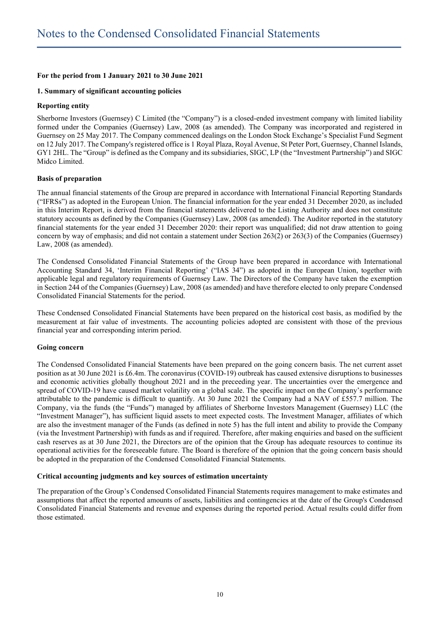# **1. Summary of significant accounting policies**

#### **Reporting entity**

Sherborne Investors (Guernsey) C Limited (the "Company") is a closed-ended investment company with limited liability formed under the Companies (Guernsey) Law, 2008 (as amended). The Company was incorporated and registered in Guernsey on 25 May 2017. The Company commenced dealings on the London Stock Exchange's Specialist Fund Segment on 12 July 2017. The Company's registered office is 1 Royal Plaza, Royal Avenue, St Peter Port, Guernsey, Channel Islands, GY1 2HL. The "Group" is defined as the Company and its subsidiaries, SIGC, LP (the "Investment Partnership") and SIGC Midco Limited.

#### **Basis of preparation**

The annual financial statements of the Group are prepared in accordance with International Financial Reporting Standards ("IFRSs") as adopted in the European Union. The financial information for the year ended 31 December 2020, as included in this Interim Report, is derived from the financial statements delivered to the Listing Authority and does not constitute statutory accounts as defined by the Companies (Guernsey) Law, 2008 (as amended). The Auditor reported in the statutory financial statements for the year ended 31 December 2020: their report was unqualified; did not draw attention to going concern by way of emphasis; and did not contain a statement under Section 263(2) or 263(3) of the Companies (Guernsey) Law, 2008 (as amended).

The Condensed Consolidated Financial Statements of the Group have been prepared in accordance with International Accounting Standard 34, 'Interim Financial Reporting' ("IAS 34") as adopted in the European Union, together with applicable legal and regulatory requirements of Guernsey Law. The Directors of the Company have taken the exemption in Section 244 of the Companies (Guernsey) Law, 2008 (as amended) and have therefore elected to only prepare Condensed Consolidated Financial Statements for the period.

These Condensed Consolidated Financial Statements have been prepared on the historical cost basis, as modified by the measurement at fair value of investments. The accounting policies adopted are consistent with those of the previous financial year and corresponding interim period.

#### **Going concern**

The Condensed Consolidated Financial Statements have been prepared on the going concern basis. The net current asset position as at 30 June 2021 is £6.4m. The coronavirus (COVID-19) outbreak has caused extensive disruptions to businesses and economic activities globally thoughout 2021 and in the preceeding year. The uncertainties over the emergence and spread of COVID-19 have caused market volatility on a global scale. The specific impact on the Company's performance attributable to the pandemic is difficult to quantify. At 30 June 2021 the Company had a NAV of £557.7 million. The Company, via the funds (the "Funds") managed by affiliates of Sherborne Investors Management (Guernsey) LLC (the "Investment Manager"), has sufficient liquid assets to meet expected costs. The Investment Manager, affiliates of which are also the investment manager of the Funds (as defined in note 5) has the full intent and ability to provide the Company (via the Investment Partnership) with funds as and if required. Therefore, after making enquiries and based on the sufficient cash reserves as at 30 June 2021, the Directors are of the opinion that the Group has adequate resources to continue its operational activities for the foreseeable future. The Board is therefore of the opinion that the going concern basis should be adopted in the preparation of the Condensed Consolidated Financial Statements.

#### **Critical accounting judgments and key sources of estimation uncertainty**

The preparation of the Group's Condensed Consolidated Financial Statements requires management to make estimates and assumptions that affect the reported amounts of assets, liabilities and contingencies at the date of the Group's Condensed Consolidated Financial Statements and revenue and expenses during the reported period. Actual results could differ from those estimated.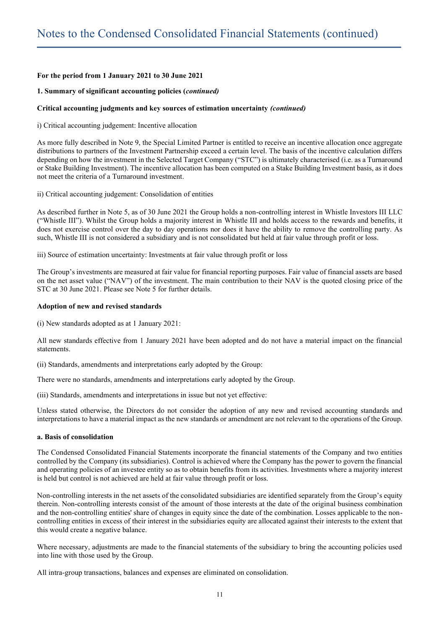#### **1. Summary of significant accounting policies (***continued)*

#### **Critical accounting judgments and key sources of estimation uncertainty** *(continued)*

i) Critical accounting judgement: Incentive allocation

As more fully described in Note 9, the Special Limited Partner is entitled to receive an incentive allocation once aggregate distributions to partners of the Investment Partnership exceed a certain level. The basis of the incentive calculation differs depending on how the investment in the Selected Target Company ("STC") is ultimately characterised (i.e. as a Turnaround or Stake Building Investment). The incentive allocation has been computed on a Stake Building Investment basis, as it does not meet the criteria of a Turnaround investment.

ii) Critical accounting judgement: Consolidation of entities

As described further in Note 5, as of 30 June 2021 the Group holds a non-controlling interest in Whistle Investors III LLC ("Whistle III"). Whilst the Group holds a majority interest in Whistle III and holds access to the rewards and benefits, it does not exercise control over the day to day operations nor does it have the ability to remove the controlling party. As such, Whistle III is not considered a subsidiary and is not consolidated but held at fair value through profit or loss.

iii) Source of estimation uncertainty: Investments at fair value through profit or loss

The Group's investments are measured at fair value for financial reporting purposes. Fair value of financial assets are based on the net asset value ("NAV") of the investment. The main contribution to their NAV is the quoted closing price of the STC at 30 June 2021. Please see Note 5 for further details.

#### **Adoption of new and revised standards**

(i) New standards adopted as at 1 January 2021:

All new standards effective from 1 January 2021 have been adopted and do not have a material impact on the financial statements.

(ii) Standards, amendments and interpretations early adopted by the Group:

There were no standards, amendments and interpretations early adopted by the Group.

(iii) Standards, amendments and interpretations in issue but not yet effective:

Unless stated otherwise, the Directors do not consider the adoption of any new and revised accounting standards and interpretations to have a material impact as the new standards or amendment are not relevant to the operations of the Group.

#### **a. Basis of consolidation**

The Condensed Consolidated Financial Statements incorporate the financial statements of the Company and two entities controlled by the Company (its subsidiaries). Control is achieved where the Company has the power to govern the financial and operating policies of an investee entity so as to obtain benefits from its activities. Investments where a majority interest is held but control is not achieved are held at fair value through profit or loss.

Non-controlling interests in the net assets of the consolidated subsidiaries are identified separately from the Group's equity therein. Non-controlling interests consist of the amount of those interests at the date of the original business combination and the non-controlling entities' share of changes in equity since the date of the combination. Losses applicable to the noncontrolling entities in excess of their interest in the subsidiaries equity are allocated against their interests to the extent that this would create a negative balance.

Where necessary, adjustments are made to the financial statements of the subsidiary to bring the accounting policies used into line with those used by the Group.

All intra-group transactions, balances and expenses are eliminated on consolidation.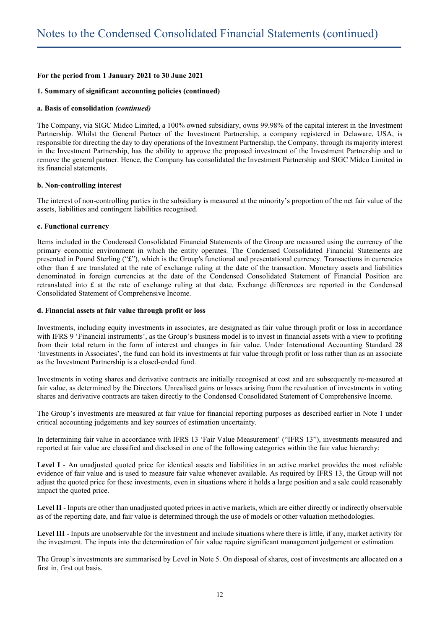#### **1. Summary of significant accounting policies (continued)**

#### **a. Basis of consolidation** *(continued)*

The Company, via SIGC Midco Limited, a 100% owned subsidiary, owns 99.98% of the capital interest in the Investment Partnership. Whilst the General Partner of the Investment Partnership, a company registered in Delaware, USA, is responsible for directing the day to day operations of the Investment Partnership, the Company, through its majority interest in the Investment Partnership, has the ability to approve the proposed investment of the Investment Partnership and to remove the general partner. Hence, the Company has consolidated the Investment Partnership and SIGC Midco Limited in its financial statements.

#### **b. Non-controlling interest**

The interest of non-controlling parties in the subsidiary is measured at the minority's proportion of the net fair value of the assets, liabilities and contingent liabilities recognised.

#### **c. Functional currency**

Items included in the Condensed Consolidated Financial Statements of the Group are measured using the currency of the primary economic environment in which the entity operates. The Condensed Consolidated Financial Statements are presented in Pound Sterling ("£"), which is the Group's functional and presentational currency. Transactions in currencies other than  $\pounds$  are translated at the rate of exchange ruling at the date of the transaction. Monetary assets and liabilities denominated in foreign currencies at the date of the Condensed Consolidated Statement of Financial Position are retranslated into £ at the rate of exchange ruling at that date. Exchange differences are reported in the Condensed Consolidated Statement of Comprehensive Income.

#### **d. Financial assets at fair value through profit or loss**

Investments, including equity investments in associates, are designated as fair value through profit or loss in accordance with IFRS 9 'Financial instruments', as the Group's business model is to invest in financial assets with a view to profiting from their total return in the form of interest and changes in fair value. Under International Accounting Standard 28 'Investments in Associates', the fund can hold its investments at fair value through profit or loss rather than as an associate as the Investment Partnership is a closed-ended fund.

Investments in voting shares and derivative contracts are initially recognised at cost and are subsequently re-measured at fair value, as determined by the Directors. Unrealised gains or losses arising from the revaluation of investments in voting shares and derivative contracts are taken directly to the Condensed Consolidated Statement of Comprehensive Income.

The Group's investments are measured at fair value for financial reporting purposes as described earlier in Note 1 under critical accounting judgements and key sources of estimation uncertainty.

In determining fair value in accordance with IFRS 13 'Fair Value Measurement' ("IFRS 13"), investments measured and reported at fair value are classified and disclosed in one of the following categories within the fair value hierarchy:

**Level I** - An unadjusted quoted price for identical assets and liabilities in an active market provides the most reliable evidence of fair value and is used to measure fair value whenever available. As required by IFRS 13, the Group will not adjust the quoted price for these investments, even in situations where it holds a large position and a sale could reasonably impact the quoted price.

**Level II** - Inputs are other than unadjusted quoted prices in active markets, which are either directly or indirectly observable as of the reporting date, and fair value is determined through the use of models or other valuation methodologies.

**Level III** - Inputs are unobservable for the investment and include situations where there is little, if any, market activity for the investment. The inputs into the determination of fair value require significant management judgement or estimation.

The Group's investments are summarised by Level in Note 5. On disposal of shares, cost of investments are allocated on a first in, first out basis.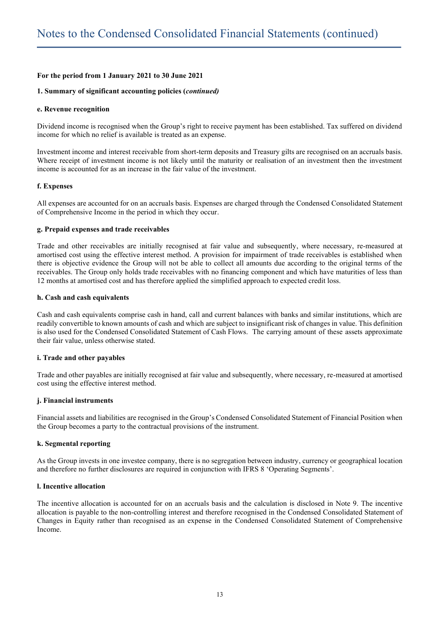#### **1. Summary of significant accounting policies (***continued)*

#### **e. Revenue recognition**

Dividend income is recognised when the Group's right to receive payment has been established. Tax suffered on dividend income for which no relief is available is treated as an expense.

Investment income and interest receivable from short-term deposits and Treasury gilts are recognised on an accruals basis. Where receipt of investment income is not likely until the maturity or realisation of an investment then the investment income is accounted for as an increase in the fair value of the investment.

#### **f. Expenses**

All expenses are accounted for on an accruals basis. Expenses are charged through the Condensed Consolidated Statement of Comprehensive Income in the period in which they occur.

#### **g. Prepaid expenses and trade receivables**

Trade and other receivables are initially recognised at fair value and subsequently, where necessary, re-measured at amortised cost using the effective interest method. A provision for impairment of trade receivables is established when there is objective evidence the Group will not be able to collect all amounts due according to the original terms of the receivables. The Group only holds trade receivables with no financing component and which have maturities of less than 12 months at amortised cost and has therefore applied the simplified approach to expected credit loss.

#### **h. Cash and cash equivalents**

Cash and cash equivalents comprise cash in hand, call and current balances with banks and similar institutions, which are readily convertible to known amounts of cash and which are subject to insignificant risk of changes in value. This definition is also used for the Condensed Consolidated Statement of Cash Flows. The carrying amount of these assets approximate their fair value, unless otherwise stated.

#### **i. Trade and other payables**

Trade and other payables are initially recognised at fair value and subsequently, where necessary, re-measured at amortised cost using the effective interest method.

#### **j. Financial instruments**

Financial assets and liabilities are recognised in the Group's Condensed Consolidated Statement of Financial Position when the Group becomes a party to the contractual provisions of the instrument.

#### **k. Segmental reporting**

As the Group invests in one investee company, there is no segregation between industry, currency or geographical location and therefore no further disclosures are required in conjunction with IFRS 8 'Operating Segments'.

# **l. Incentive allocation**

The incentive allocation is accounted for on an accruals basis and the calculation is disclosed in Note 9. The incentive allocation is payable to the non-controlling interest and therefore recognised in the Condensed Consolidated Statement of Changes in Equity rather than recognised as an expense in the Condensed Consolidated Statement of Comprehensive Income.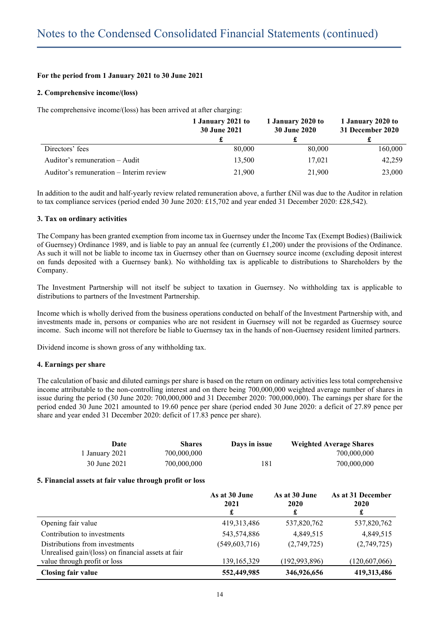# **2. Comprehensive income/(loss)**

The comprehensive income/(loss) has been arrived at after charging:

|                                         | 1 January 2021 to<br><b>30 June 2021</b> | 1 January 2020 to<br><b>30 June 2020</b> | 1 January 2020 to<br>31 December 2020 |
|-----------------------------------------|------------------------------------------|------------------------------------------|---------------------------------------|
|                                         |                                          |                                          |                                       |
| Directors' fees                         | 80,000                                   | 80,000                                   | 160,000                               |
| Auditor's remuneration $-$ Audit        | 13,500                                   | 17,021                                   | 42,259                                |
| Auditor's remuneration – Interim review | 21,900                                   | 21,900                                   | 23,000                                |

In addition to the audit and half-yearly review related remuneration above, a further £Nil was due to the Auditor in relation to tax compliance services (period ended 30 June 2020: £15,702 and year ended 31 December 2020: £28,542).

# **3. Tax on ordinary activities**

The Company has been granted exemption from income tax in Guernsey under the Income Tax (Exempt Bodies) (Bailiwick of Guernsey) Ordinance 1989, and is liable to pay an annual fee (currently £1,200) under the provisions of the Ordinance. As such it will not be liable to income tax in Guernsey other than on Guernsey source income (excluding deposit interest on funds deposited with a Guernsey bank). No withholding tax is applicable to distributions to Shareholders by the Company.

The Investment Partnership will not itself be subject to taxation in Guernsey. No withholding tax is applicable to distributions to partners of the Investment Partnership.

Income which is wholly derived from the business operations conducted on behalf of the Investment Partnership with, and investments made in, persons or companies who are not resident in Guernsey will not be regarded as Guernsey source income. Such income will not therefore be liable to Guernsey tax in the hands of non-Guernsey resident limited partners.

Dividend income is shown gross of any withholding tax.

# **4. Earnings per share**

The calculation of basic and diluted earnings per share is based on the return on ordinary activities less total comprehensive income attributable to the non-controlling interest and on there being 700,000,000 weighted average number of shares in issue during the period (30 June 2020: 700,000,000 and 31 December 2020: 700,000,000). The earnings per share for the period ended 30 June 2021 amounted to 19.60 pence per share (period ended 30 June 2020: a deficit of 27.89 pence per share and year ended 31 December 2020: deficit of 17.83 pence per share).

| Date                                                                                                                 | <b>Shares</b> | Days in issue                  |                                | <b>Weighted Average Shares</b> |
|----------------------------------------------------------------------------------------------------------------------|---------------|--------------------------------|--------------------------------|--------------------------------|
| 1 January 2021                                                                                                       | 700,000,000   |                                |                                | 700,000,000                    |
| 30 June 2021                                                                                                         | 700,000,000   | 181                            |                                | 700,000,000                    |
| 5. Financial assets at fair value through profit or loss                                                             |               |                                |                                |                                |
|                                                                                                                      |               | As at 30 June<br>2021<br>£     | As at 30 June<br>2020<br>£     | As at 31 December<br>2020<br>£ |
| Opening fair value                                                                                                   |               | 419, 313, 486                  | 537,820,762                    | 537,820,762                    |
| Contribution to investments                                                                                          |               | 543,574,886                    | 4,849,515                      | 4,849,515                      |
| Distributions from investments<br>Unrealised gain/(loss) on financial assets at fair<br>value through profit or loss |               | (549,603,716)<br>139, 165, 329 | (2,749,725)<br>(192, 993, 896) | (2,749,725)<br>(120,607,066)   |
| <b>Closing fair value</b>                                                                                            |               | 552,449,985                    | 346,926,656                    | 419,313,486                    |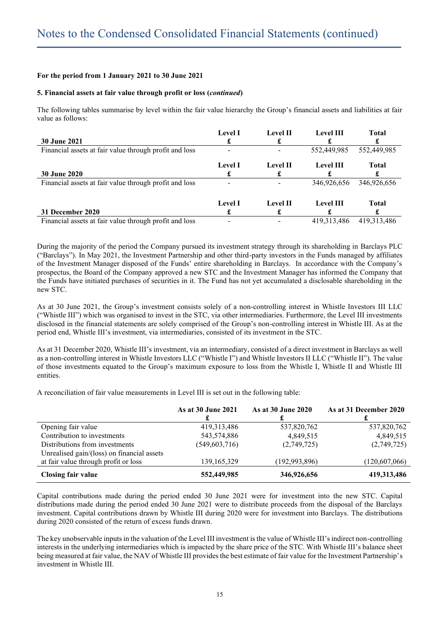#### **5. Financial assets at fair value through profit or loss (***continued***)**

The following tables summarise by level within the fair value hierarchy the Group's financial assets and liabilities at fair value as follows:

| <b>30 June 2021</b>                                    | <b>Level I</b> | <b>Level II</b> | <b>Level III</b> | Total       |
|--------------------------------------------------------|----------------|-----------------|------------------|-------------|
| Financial assets at fair value through profit and loss |                |                 | 552,449,985      | 552,449,985 |
| <b>30 June 2020</b>                                    | <b>Level I</b> | <b>Level II</b> | <b>Level III</b> | Total       |
| Financial assets at fair value through profit and loss |                |                 | 346,926,656      | 346,926,656 |
| 31 December 2020                                       | <b>Level I</b> | <b>Level II</b> | <b>Level III</b> | Total       |
| Financial assets at fair value through profit and loss |                |                 | 419, 313, 486    | 419.313.486 |

During the majority of the period the Company pursued its investment strategy through its shareholding in Barclays PLC ("Barclays"). In May 2021, the Investment Partnership and other third-party investors in the Funds managed by affiliates of the Investment Manager disposed of the Funds' entire shareholding in Barclays. In accordance with the Company's prospectus, the Board of the Company approved a new STC and the Investment Manager has informed the Company that the Funds have initiated purchases of securities in it. The Fund has not yet accumulated a disclosable shareholding in the new STC.

As at 30 June 2021, the Group's investment consists solely of a non-controlling interest in Whistle Investors III LLC ("Whistle III") which was organised to invest in the STC, via other intermediaries. Furthermore, the Level III investments disclosed in the financial statements are solely comprised of the Group's non-controlling interest in Whistle III. As at the period end, Whistle III's investment, via intermediaries, consisted of its investment in the STC.

As at 31 December 2020, Whistle III's investment, via an intermediary, consisted of a direct investment in Barclays as well as a non-controlling interest in Whistle Investors LLC ("Whistle I") and Whistle Investors II LLC ("Whistle II"). The value of those investments equated to the Group's maximum exposure to loss from the Whistle I, Whistle II and Whistle III entities.

A reconciliation of fair value measurements in Level III is set out in the following table:

|                                            | As at 30 June 2021 | As at 30 June 2020 | As at 31 December 2020 |
|--------------------------------------------|--------------------|--------------------|------------------------|
| Opening fair value                         | 419, 313, 486      | 537,820,762        | 537,820,762            |
| Contribution to investments                | 543,574,886        | 4,849,515          | 4,849,515              |
| Distributions from investments             | (549, 603, 716)    | (2,749,725)        | (2,749,725)            |
| Unrealised gain/(loss) on financial assets |                    |                    |                        |
| at fair value through profit or loss       | 139, 165, 329      | (192, 993, 896)    | (120,607,066)          |
| <b>Closing fair value</b>                  | 552,449,985        | 346,926,656        | 419,313,486            |

Capital contributions made during the period ended 30 June 2021 were for investment into the new STC. Capital distributions made during the period ended 30 June 2021 were to distribute proceeds from the disposal of the Barclays investment. Capital contributions drawn by Whistle III during 2020 were for investment into Barclays. The distributions during 2020 consisted of the return of excess funds drawn.

The key unobservable inputs in the valuation of the Level III investment is the value of Whistle III's indirect non-controlling interests in the underlying intermediaries which is impacted by the share price of the STC. With Whistle III's balance sheet being measured at fair value, the NAV of Whistle III provides the best estimate of fair value for the Investment Partnership's investment in Whistle III.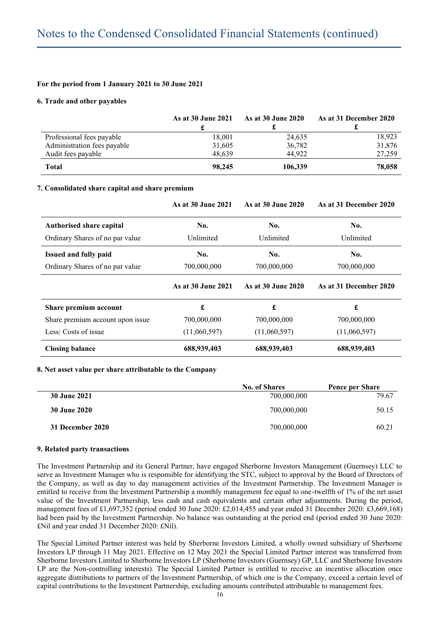#### **6. Trade and other payables**

|                             | As at 30 June 2021 | <b>As at 30 June 2020</b> | As at 31 December 2020 |
|-----------------------------|--------------------|---------------------------|------------------------|
| Professional fees payable   | 18,001             | 24,635                    | 18,923                 |
| Administration fees payable | 31,605             | 36,782                    | 31,876                 |
| Audit fees payable          | 48.639             | 44.922                    | 27,259                 |
| <b>Total</b>                | 98,245             | 106,339                   | 78,058                 |

#### **7. Consolidated share capital and share premium**

|                                  | As at 30 June 2021 | As at 30 June 2020 | As at 31 December 2020 |  |
|----------------------------------|--------------------|--------------------|------------------------|--|
| <b>Authorised share capital</b>  | No.                | No.                | No.                    |  |
| Ordinary Shares of no par value  | Unlimited          | Unlimited          | Unlimited              |  |
| <b>Issued and fully paid</b>     | No.                | No.                | No.                    |  |
| Ordinary Shares of no par value  | 700,000,000        | 700,000,000        | 700,000,000            |  |
|                                  | As at 30 June 2021 | As at 30 June 2020 | As at 31 December 2020 |  |
| Share premium account            | £                  | £                  | £                      |  |
| Share premium account upon issue | 700,000,000        | 700,000,000        | 700,000,000            |  |
| Less: Costs of issue             | (11,060,597)       | (11,060,597)       | (11,060,597)           |  |
| <b>Closing balance</b>           | 688,939,403        | 688,939,403        | 688,939,403            |  |

#### **8. Net asset value per share attributable to the Company**

|                     | <b>No. of Shares</b> | Pence per Share |  |
|---------------------|----------------------|-----------------|--|
| 30 June 2021        | 700,000,000          | 79.67           |  |
| <b>30 June 2020</b> | 700,000,000          | 50.15           |  |
| 31 December 2020    | 700,000,000          | 60.21           |  |

#### **9. Related party transactions**

The Investment Partnership and its General Partner, have engaged Sherborne Investors Management (Guernsey) LLC to serve as Investment Manager who is responsible for identifying the STC, subject to approval by the Board of Directors of the Company, as well as day to day management activities of the Investment Partnership. The Investment Manager is entitled to receive from the Investment Partnership a monthly management fee equal to one-twelfth of 1% of the net asset value of the Investment Partnership, less cash and cash equivalents and certain other adjustments. During the period, management fees of £1,697,352 (period ended 30 June 2020: £2,014,455 and year ended 31 December 2020: £3,669,168) had been paid by the Investment Partnership. No balance was outstanding at the period end (period ended 30 June 2020: £Nil and year ended 31 December 2020: £Nil).

The Special Limited Partner interest was held by Sherborne Investors Limited, a wholly owned subsidiary of Sherborne Investors LP through 11 May 2021. Effective on 12 May 2021 the Special Limited Partner interest was transferred from Sherborne Investors Limited to Sherborne Investors LP (Sherborne Investors (Guernsey) GP, LLC and Sherborne Investors LP are the Non-controlling interests). The Special Limited Partner is entitled to receive an incentive allocation once aggregate distributions to partners of the Investment Partnership, of which one is the Company, exceed a certain level of capital contributions to the Investment Partnership, excluding amounts contributed attributable to management fees.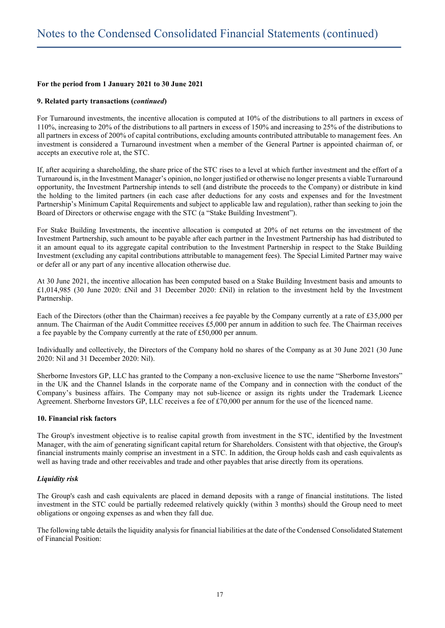#### **9. Related party transactions (***continued***)**

For Turnaround investments, the incentive allocation is computed at 10% of the distributions to all partners in excess of 110%, increasing to 20% of the distributions to all partners in excess of 150% and increasing to 25% of the distributions to all partners in excess of 200% of capital contributions, excluding amounts contributed attributable to management fees. An investment is considered a Turnaround investment when a member of the General Partner is appointed chairman of, or accepts an executive role at, the STC.

If, after acquiring a shareholding, the share price of the STC rises to a level at which further investment and the effort of a Turnaround is, in the Investment Manager's opinion, no longer justified or otherwise no longer presents a viable Turnaround opportunity, the Investment Partnership intends to sell (and distribute the proceeds to the Company) or distribute in kind the holding to the limited partners (in each case after deductions for any costs and expenses and for the Investment Partnership's Minimum Capital Requirements and subject to applicable law and regulation), rather than seeking to join the Board of Directors or otherwise engage with the STC (a "Stake Building Investment").

For Stake Building Investments, the incentive allocation is computed at 20% of net returns on the investment of the Investment Partnership, such amount to be payable after each partner in the Investment Partnership has had distributed to it an amount equal to its aggregate capital contribution to the Investment Partnership in respect to the Stake Building Investment (excluding any capital contributions attributable to management fees). The Special Limited Partner may waive or defer all or any part of any incentive allocation otherwise due.

At 30 June 2021, the incentive allocation has been computed based on a Stake Building Investment basis and amounts to £1,014,985 (30 June 2020: £Nil and 31 December 2020: £Nil) in relation to the investment held by the Investment Partnership.

Each of the Directors (other than the Chairman) receives a fee payable by the Company currently at a rate of £35,000 per annum. The Chairman of the Audit Committee receives £5,000 per annum in addition to such fee. The Chairman receives a fee payable by the Company currently at the rate of £50,000 per annum.

Individually and collectively, the Directors of the Company hold no shares of the Company as at 30 June 2021 (30 June 2020: Nil and 31 December 2020: Nil).

Sherborne Investors GP, LLC has granted to the Company a non-exclusive licence to use the name "Sherborne Investors" in the UK and the Channel Islands in the corporate name of the Company and in connection with the conduct of the Company's business affairs. The Company may not sub-licence or assign its rights under the Trademark Licence Agreement. Sherborne Investors GP, LLC receives a fee of £70,000 per annum for the use of the licenced name.

#### **10. Financial risk factors**

The Group's investment objective is to realise capital growth from investment in the STC, identified by the Investment Manager, with the aim of generating significant capital return for Shareholders. Consistent with that objective, the Group's financial instruments mainly comprise an investment in a STC. In addition, the Group holds cash and cash equivalents as well as having trade and other receivables and trade and other payables that arise directly from its operations.

#### *Liquidity risk*

The Group's cash and cash equivalents are placed in demand deposits with a range of financial institutions. The listed investment in the STC could be partially redeemed relatively quickly (within 3 months) should the Group need to meet obligations or ongoing expenses as and when they fall due.

The following table details the liquidity analysis for financial liabilities at the date of the Condensed Consolidated Statement of Financial Position: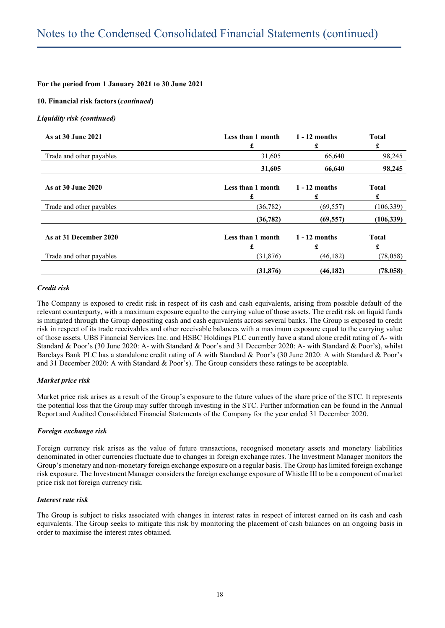#### **10. Financial risk factors(***continued***)**

#### *Liquidity risk (continued)*

| As at 30 June 2021       | Less than 1 month<br>£ | $1 - 12$ months<br>£ | <b>Total</b><br>£ |  |
|--------------------------|------------------------|----------------------|-------------------|--|
| Trade and other payables | 31,605                 | 66,640               | 98,245            |  |
|                          | 31,605                 | 66,640               | 98,245            |  |
| As at 30 June 2020       | Less than 1 month<br>£ | $1 - 12$ months<br>£ | <b>Total</b><br>£ |  |
| Trade and other payables | (36, 782)              | (69, 557)            | (106, 339)        |  |
|                          | (36, 782)              | (69, 557)            | (106, 339)        |  |
| As at 31 December 2020   | Less than 1 month<br>£ | $1 - 12$ months<br>£ | <b>Total</b><br>£ |  |
| Trade and other payables | (31,876)               | (46,182)             | (78, 058)         |  |
|                          | (31, 876)              | (46, 182)            | (78, 058)         |  |

#### *Credit risk*

The Company is exposed to credit risk in respect of its cash and cash equivalents, arising from possible default of the relevant counterparty, with a maximum exposure equal to the carrying value of those assets. The credit risk on liquid funds is mitigated through the Group depositing cash and cash equivalents across several banks. The Group is exposed to credit risk in respect of its trade receivables and other receivable balances with a maximum exposure equal to the carrying value of those assets. UBS Financial Services Inc. and HSBC Holdings PLC currently have a stand alone credit rating of A- with Standard & Poor's (30 June 2020: A- with Standard & Poor's and 31 December 2020: A- with Standard & Poor's), whilst Barclays Bank PLC has a standalone credit rating of A with Standard & Poor's (30 June 2020: A with Standard & Poor's and 31 December 2020: A with Standard & Poor's). The Group considers these ratings to be acceptable.

#### *Market price risk*

Market price risk arises as a result of the Group's exposure to the future values of the share price of the STC. It represents the potential loss that the Group may suffer through investing in the STC. Further information can be found in the Annual Report and Audited Consolidated Financial Statements of the Company for the year ended 31 December 2020.

#### *Foreign exchange risk*

Foreign currency risk arises as the value of future transactions, recognised monetary assets and monetary liabilities denominated in other currencies fluctuate due to changes in foreign exchange rates. The Investment Manager monitors the Group's monetary and non-monetary foreign exchange exposure on a regular basis. The Group has limited foreign exchange risk exposure. The Investment Manager considers the foreign exchange exposure of Whistle III to be a component of market price risk not foreign currency risk.

#### *Interest rate risk*

The Group is subject to risks associated with changes in interest rates in respect of interest earned on its cash and cash equivalents. The Group seeks to mitigate this risk by monitoring the placement of cash balances on an ongoing basis in order to maximise the interest rates obtained.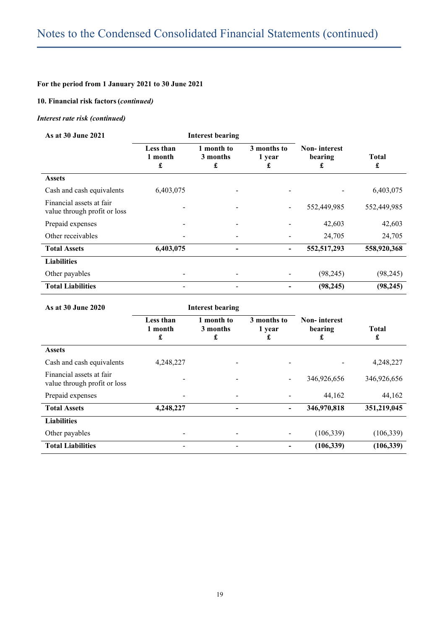# **10. Financial risk factors(***continued)*

# *Interest rate risk (continued)*

| As at 30 June 2021                                       | <b>Interest bearing</b>   |                             |                            |                                     |                   |
|----------------------------------------------------------|---------------------------|-----------------------------|----------------------------|-------------------------------------|-------------------|
|                                                          | Less than<br>1 month<br>£ | 1 month to<br>3 months<br>£ | 3 months to<br>1 year<br>£ | <b>Non-interest</b><br>bearing<br>£ | <b>Total</b><br>£ |
| <b>Assets</b>                                            |                           |                             |                            |                                     |                   |
| Cash and cash equivalents                                | 6,403,075                 |                             |                            |                                     | 6,403,075         |
| Financial assets at fair<br>value through profit or loss |                           |                             |                            | 552,449,985                         | 552,449,985       |
| Prepaid expenses                                         |                           |                             |                            | 42,603                              | 42,603            |
| Other receivables                                        |                           |                             |                            | 24,705                              | 24,705            |
| <b>Total Assets</b>                                      | 6,403,075                 |                             |                            | 552, 517, 293                       | 558,920,368       |
| <b>Liabilities</b>                                       |                           |                             |                            |                                     |                   |
| Other payables                                           |                           |                             |                            | (98, 245)                           | (98, 245)         |
| <b>Total Liabilities</b>                                 |                           |                             |                            | (98, 245)                           | (98, 245)         |

| As at 30 June 2020                                       | <b>Interest bearing</b>   |                             |                            |                                     |                   |
|----------------------------------------------------------|---------------------------|-----------------------------|----------------------------|-------------------------------------|-------------------|
|                                                          | Less than<br>1 month<br>£ | 1 month to<br>3 months<br>£ | 3 months to<br>1 year<br>£ | <b>Non-interest</b><br>bearing<br>£ | <b>Total</b><br>£ |
| <b>Assets</b>                                            |                           |                             |                            |                                     |                   |
| Cash and cash equivalents                                | 4,248,227                 |                             |                            |                                     | 4,248,227         |
| Financial assets at fair<br>value through profit or loss |                           |                             |                            | 346,926,656                         | 346,926,656       |
| Prepaid expenses                                         |                           |                             |                            | 44,162                              | 44,162            |
| <b>Total Assets</b>                                      | 4,248,227                 |                             | ۰                          | 346,970,818                         | 351,219,045       |
| <b>Liabilities</b>                                       |                           |                             |                            |                                     |                   |
| Other payables                                           |                           |                             |                            | (106, 339)                          | (106, 339)        |
| <b>Total Liabilities</b>                                 |                           |                             |                            | (106, 339)                          | (106, 339)        |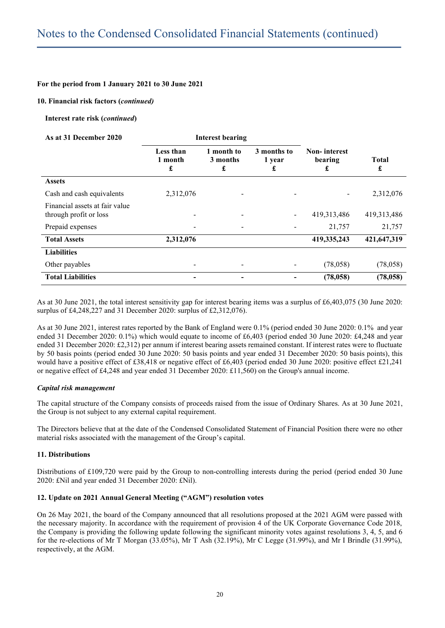#### **10. Financial risk factors (***continued)*

**Interest rate risk (***continued***)**

| As at 31 December 2020                                   | Interest bearing          |                             |                            |                                     |                   |
|----------------------------------------------------------|---------------------------|-----------------------------|----------------------------|-------------------------------------|-------------------|
|                                                          | Less than<br>1 month<br>£ | 1 month to<br>3 months<br>£ | 3 months to<br>1 year<br>£ | <b>Non-interest</b><br>bearing<br>£ | <b>Total</b><br>£ |
| <b>Assets</b>                                            |                           |                             |                            |                                     |                   |
| Cash and cash equivalents                                | 2,312,076                 |                             |                            |                                     | 2,312,076         |
| Financial assets at fair value<br>through profit or loss |                           |                             | -                          | 419, 313, 486                       | 419,313,486       |
| Prepaid expenses                                         | -                         |                             |                            | 21,757                              | 21,757            |
| <b>Total Assets</b>                                      | 2,312,076                 |                             |                            | 419,335,243                         | 421,647,319       |
| <b>Liabilities</b>                                       |                           |                             |                            |                                     |                   |
| Other payables                                           | -                         |                             |                            | (78,058)                            | (78,058)          |
| <b>Total Liabilities</b>                                 | -                         |                             |                            | (78, 058)                           | (78, 058)         |

As at 30 June 2021, the total interest sensitivity gap for interest bearing items was a surplus of £6,403,075 (30 June 2020: surplus of £4,248,227 and 31 December 2020: surplus of £2,312,076).

As at 30 June 2021, interest rates reported by the Bank of England were 0.1% (period ended 30 June 2020: 0.1% and year ended 31 December 2020: 0.1%) which would equate to income of £6,403 (period ended 30 June 2020: £4,248 and year ended 31 December 2020: £2,312) per annum if interest bearing assets remained constant. If interest rates were to fluctuate by 50 basis points (period ended 30 June 2020: 50 basis points and year ended 31 December 2020: 50 basis points), this would have a positive effect of £38,418 or negative effect of £6,403 (period ended 30 June 2020: positive effect £21,241 or negative effect of £4,248 and year ended 31 December 2020: £11,560) on the Group's annual income.

#### *Capital risk management*

The capital structure of the Company consists of proceeds raised from the issue of Ordinary Shares. As at 30 June 2021, the Group is not subject to any external capital requirement.

The Directors believe that at the date of the Condensed Consolidated Statement of Financial Position there were no other material risks associated with the management of the Group's capital.

#### **11. Distributions**

Distributions of £109,720 were paid by the Group to non-controlling interests during the period (period ended 30 June 2020: £Nil and year ended 31 December 2020: £Nil).

#### **12. Update on 2021 Annual General Meeting ("AGM") resolution votes**

On 26 May 2021, the board of the Company announced that all resolutions proposed at the 2021 AGM were passed with the necessary majority. In accordance with the requirement of provision 4 of the UK Corporate Governance Code 2018, the Company is providing the following update following the significant minority votes against resolutions 3, 4, 5, and 6 for the re-elections of Mr T Morgan (33.05%), Mr T Ash (32.19%), Mr C Legge (31.99%), and Mr I Brindle (31.99%), respectively, at the AGM.